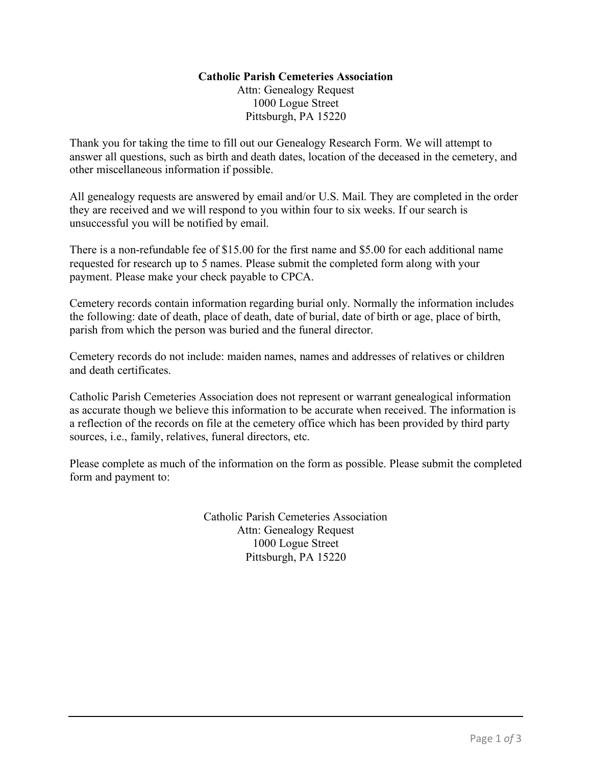## **Catholic Parish Cemeteries Association**

Attn: Genealogy Request 1000 Logue Street Pittsburgh, PA 15220

Thank you for taking the time to fill out our Genealogy Research Form. We will attempt to answer all questions, such as birth and death dates, location of the deceased in the cemetery, and other miscellaneous information if possible.

All genealogy requests are answered by email and/or U.S. Mail. They are completed in the order they are received and we will respond to you within four to six weeks. If our search is unsuccessful you will be notified by email.

There is a non-refundable fee of \$15.00 for the first name and \$5.00 for each additional name requested for research up to 5 names. Please submit the completed form along with your payment. Please make your check payable to CPCA.

Cemetery records contain information regarding burial only. Normally the information includes the following: date of death, place of death, date of burial, date of birth or age, place of birth, parish from which the person was buried and the funeral director.

Cemetery records do not include: maiden names, names and addresses of relatives or children and death certificates.

Catholic Parish Cemeteries Association does not represent or warrant genealogical information as accurate though we believe this information to be accurate when received. The information is a reflection of the records on file at the cemetery office which has been provided by third party sources, i.e., family, relatives, funeral directors, etc.

Please complete as much of the information on the form as possible. Please submit the completed form and payment to:

> Catholic Parish Cemeteries Association Attn: Genealogy Request 1000 Logue Street Pittsburgh, PA 15220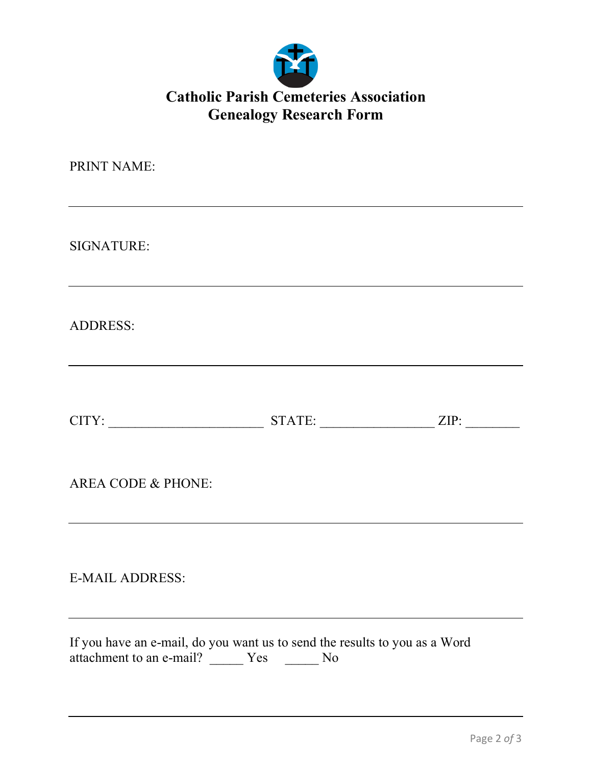

## **Catholic Parish Cemeteries Association Genealogy Research Form**

| PRINT NAME:                                                                                                                    |        |      |
|--------------------------------------------------------------------------------------------------------------------------------|--------|------|
| SIGNATURE:                                                                                                                     |        |      |
| <b>ADDRESS:</b>                                                                                                                |        |      |
| CITY:                                                                                                                          | STATE: | ZIP: |
| <b>AREA CODE &amp; PHONE:</b>                                                                                                  |        |      |
| <b>E-MAIL ADDRESS:</b>                                                                                                         |        |      |
| If you have an e-mail, do you want us to send the results to you as a Word<br>attachment to an e-mail? _______ Yes ________ No |        |      |